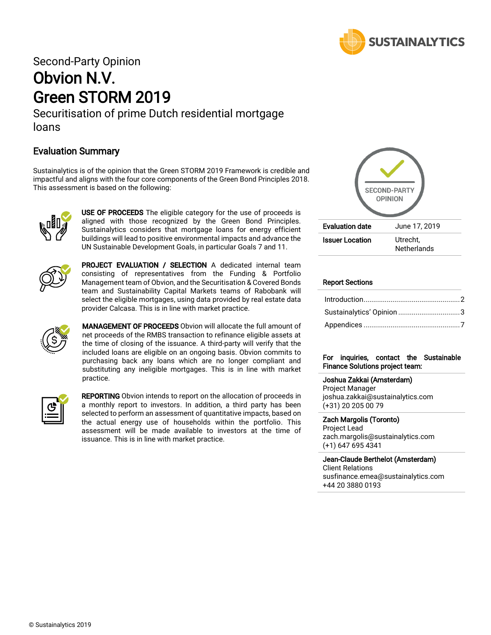

# Second-Party Opinion Obvion N.V. Green STORM 2019

Securitisation of prime Dutch residential mortgage loans

## Evaluation Summary

Sustainalytics is of the opinion that the Green STORM 2019 Framework is credible and impactful and aligns with the four core components of the Green Bond Principles 2018. This assessment is based on the following:



USE OF PROCEEDS The eligible category for the use of proceeds is aligned with those recognized by the Green Bond Principles. Sustainalytics considers that mortgage loans for energy efficient buildings will lead to positive environmental impacts and advance the UN Sustainable Development Goals, in particular Goals 7 and 11.



PROJECT EVALUATION / SELECTION A dedicated internal team consisting of representatives from the Funding & Portfolio Management team of Obvion, and the Securitisation & Covered Bonds team and Sustainability Capital Markets teams of Rabobank will select the eligible mortgages, using data provided by real estate data provider Calcasa. This is in line with market practice.



**MANAGEMENT OF PROCEEDS** Obvion will allocate the full amount of net proceeds of the RMBS transaction to refinance eligible assets at the time of closing of the issuance. A third-party will verify that the included loans are eligible on an ongoing basis. Obvion commits to purchasing back any loans which are no longer compliant and substituting any ineligible mortgages. This is in line with market practice.



REPORTING Obvion intends to report on the allocation of proceeds in a monthly report to investors. In addition, a third party has been selected to perform an assessment of quantitative impacts, based on the actual energy use of households within the portfolio. This assessment will be made available to investors at the time of issuance. This is in line with market practice.



#### Report Sections

| Sustainalytics' Opinion 3 |  |
|---------------------------|--|
|                           |  |

#### For inquiries, contact the Sustainable Finance Solutions project team:

Joshua Zakkai (Amsterdam)

Project Manager joshua.zakkai@sustainalytics.com (+31) 20 205 00 79

Zach Margolis (Toronto)

Project Lead zach.margolis@sustainalytics.com (+1) 647 695 4341

Jean-Claude Berthelot (Amsterdam) Client Relations [susfinance.emea@sustainalytics.com](mailto:susfinance.emea@sustainalytics.com) +44 20 3880 0193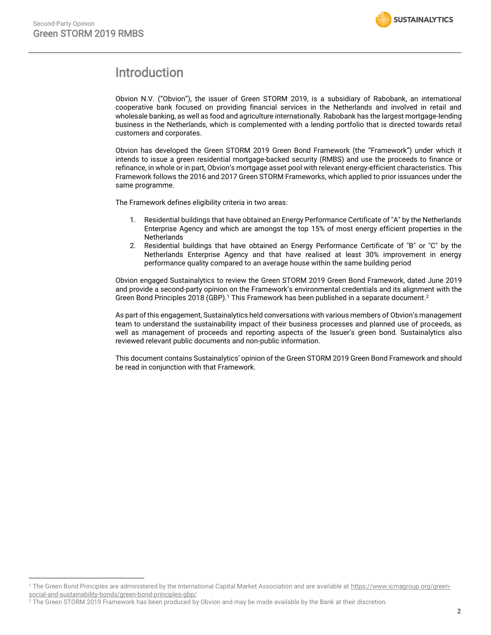$\overline{\phantom{a}}$ 

# <span id="page-1-0"></span>Introduction

Obvion N.V. ("Obvion"), the issuer of Green STORM 2019, is a subsidiary of Rabobank, an international cooperative bank focused on providing financial services in the Netherlands and involved in retail and wholesale banking, as well as food and agriculture internationally. Rabobank has the largest mortgage-lending business in the Netherlands, which is complemented with a lending portfolio that is directed towards retail customers and corporates.

Obvion has developed the Green STORM 2019 Green Bond Framework (the "Framework") under which it intends to issue a green residential mortgage-backed security (RMBS) and use the proceeds to finance or refinance, in whole or in part, Obvion's mortgage asset pool with relevant energy-efficient characteristics. This Framework follows the 2016 and 2017 Green STORM Frameworks, which applied to prior issuances under the same programme.

The Framework defines eligibility criteria in two areas:

- 1. Residential buildings that have obtained an Energy Performance Certificate of "A" by the Netherlands Enterprise Agency and which are amongst the top 15% of most energy efficient properties in the **Netherlands**
- 2. Residential buildings that have obtained an Energy Performance Certificate of "B" or "C" by the Netherlands Enterprise Agency and that have realised at least 30% improvement in energy performance quality compared to an average house within the same building period

Obvion engaged Sustainalytics to review the Green STORM 2019 Green Bond Framework, dated June 2019 and provide a second-party opinion on the Framework's environmental credentials and its alignment with the Green Bond Principles 2018 (GBP). <sup>1</sup> This Framework has been published in a separate document. 2

As part of this engagement, Sustainalytics held conversations with various members of Obvion's management team to understand the sustainability impact of their business processes and planned use of proceeds, as well as management of proceeds and reporting aspects of the Issuer's green bond. Sustainalytics also reviewed relevant public documents and non-public information.

This document contains Sustainalytics' opinion of the Green STORM 2019 Green Bond Framework and should be read in conjunction with that Framework.

<sup>&</sup>lt;sup>1</sup> The Green Bond Principles are administered by the International Capital Market Association and are available a[t https://www.icmagroup.org/green](https://www.icmagroup.org/green-social-and-sustainability-bonds/green-bond-principles-gbp/)[social-and-sustainability-bonds/green-bond-principles-gbp/](https://www.icmagroup.org/green-social-and-sustainability-bonds/green-bond-principles-gbp/) 

 $^2$  The Green STORM 2019 Framework has been produced by Obvion and may be made available by the Bank at their discretion.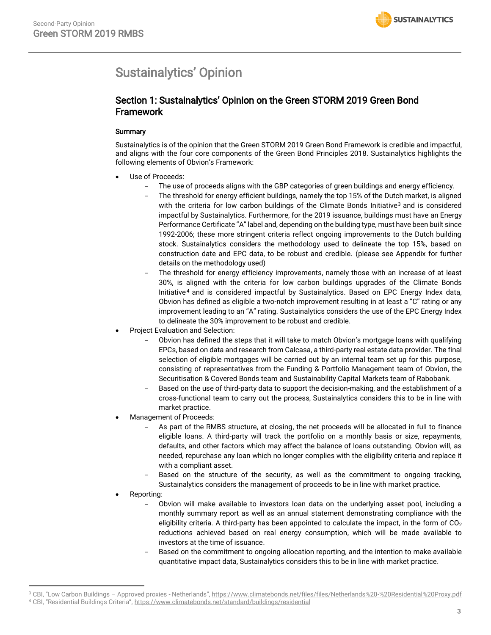# <span id="page-2-0"></span>Sustainalytics' Opinion

## Section 1: Sustainalytics' Opinion on the Green STORM 2019 Green Bond Framework

### **Summary**

Sustainalytics is of the opinion that the Green STORM 2019 Green Bond Framework is credible and impactful, and aligns with the four core components of the Green Bond Principles 2018. Sustainalytics highlights the following elements of Obvion's Framework:

- Use of Proceeds:
	- The use of proceeds aligns with the GBP categories of green buildings and energy efficiency.
	- The threshold for energy efficient buildings, namely the top 15% of the Dutch market, is aligned with the criteria for low carbon buildings of the Climate Bonds Initiative<sup>3</sup> and is considered impactful by Sustainalytics. Furthermore, for the 2019 issuance, buildings must have an Energy Performance Certificate "A" label and, depending on the building type, must have been built since 1992-2006; these more stringent criteria reflect ongoing improvements to the Dutch building stock. Sustainalytics considers the methodology used to delineate the top 15%, based on construction date and EPC data, to be robust and credible. (please see Appendix for further details on the methodology used)
	- The threshold for energy efficiency improvements, namely those with an increase of at least 30%, is aligned with the criteria for low carbon buildings upgrades of the Climate Bonds Initiative <sup>4</sup> and is considered impactful by Sustainalytics. Based on EPC Energy Index data, Obvion has defined as eligible a two-notch improvement resulting in at least a "C" rating or any improvement leading to an "A" rating. Sustainalytics considers the use of the EPC Energy Index to delineate the 30% improvement to be robust and credible.
- Project Evaluation and Selection:
	- Obvion has defined the steps that it will take to match Obvion's mortgage loans with qualifying EPCs, based on data and research from Calcasa, a third-party real estate data provider. The final selection of eligible mortgages will be carried out by an internal team set up for this purpose, consisting of representatives from the Funding & Portfolio Management team of Obvion, the Securitisation & Covered Bonds team and Sustainability Capital Markets team of Rabobank.
	- Based on the use of third-party data to support the decision-making, and the establishment of a cross-functional team to carry out the process, Sustainalytics considers this to be in line with market practice.
- Management of Proceeds:
	- As part of the RMBS structure, at closing, the net proceeds will be allocated in full to finance eligible loans. A third-party will track the portfolio on a monthly basis or size, repayments, defaults, and other factors which may affect the balance of loans outstanding. Obvion will, as needed, repurchase any loan which no longer complies with the eligibility criteria and replace it with a compliant asset.
	- Based on the structure of the security, as well as the commitment to ongoing tracking, Sustainalytics considers the management of proceeds to be in line with market practice.
- Reporting:

 $\overline{\phantom{a}}$ 

- Obvion will make available to investors loan data on the underlying asset pool, including a monthly summary report as well as an annual statement demonstrating compliance with the eligibility criteria. A third-party has been appointed to calculate the impact, in the form of  $CO<sub>2</sub>$ reductions achieved based on real energy consumption, which will be made available to investors at the time of issuance.
- Based on the commitment to ongoing allocation reporting, and the intention to make available quantitative impact data, Sustainalytics considers this to be in line with market practice.

<sup>&</sup>lt;sup>3</sup> CBI, "Low Carbon Buildings - Approved proxies - Netherlands", https://www.climatebonds.net/files/files/Netherlands%20-%20Residential%20Proxy.pdf

<sup>4</sup> CBI, "Residential Buildings Criteria", https://www.climatebonds.net/standard/buildings/residential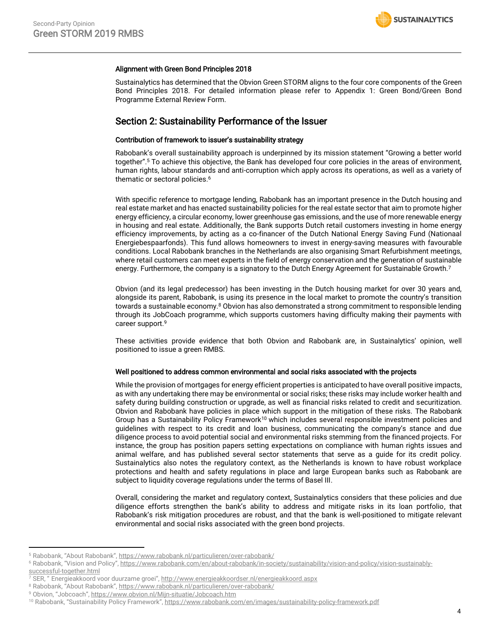#### Alignment with Green Bond Principles 2018

Sustainalytics has determined that the Obvion Green STORM aligns to the four core components of the Green Bond Principles 2018. For detailed information please refer to Appendix 1: Green Bond/Green Bond Programme External Review Form.

### Section 2: Sustainability Performance of the Issuer

#### Contribution of framework to issuer's sustainability strategy

Rabobank's overall sustainability approach is underpinned by its mission statement "Growing a better world together".<sup>5</sup> To achieve this objective, the Bank has developed four core policies in the areas of environment, human rights, labour standards and anti-corruption which apply across its operations, as well as a variety of thematic or sectoral policies.<sup>6</sup>

With specific reference to mortgage lending, Rabobank has an important presence in the Dutch housing and real estate market and has enacted sustainability policies for the real estate sector that aim to promote higher energy efficiency, a circular economy, lower greenhouse gas emissions, and the use of more renewable energy in housing and real estate. Additionally, the Bank supports Dutch retail customers investing in home energy efficiency improvements, by acting as a co-financer of the Dutch National Energy Saving Fund (Nationaal Energiebespaarfonds). This fund allows homeowners to invest in energy-saving measures with favourable conditions. Local Rabobank branches in the Netherlands are also organising Smart Refurbishment meetings, where retail customers can meet experts in the field of energy conservation and the generation of sustainable energy. Furthermore, the company is a signatory to the Dutch Energy Agreement for Sustainable Growth.<sup>7</sup>

Obvion (and its legal predecessor) has been investing in the Dutch housing market for over 30 years and, alongside its parent, Rabobank, is using its presence in the local market to promote the country's transition towards a sustainable economy.<sup>8</sup> Obvion has also demonstrated a strong commitment to responsible lending through its JobCoach programme, which supports customers having difficulty making their payments with career support.<sup>9</sup>

These activities provide evidence that both Obvion and Rabobank are, in Sustainalytics' opinion, well positioned to issue a green RMBS.

#### Well positioned to address common environmental and social risks associated with the projects

While the provision of mortgages for energy efficient properties is anticipated to have overall positive impacts, as with any undertaking there may be environmental or social risks; these risks may include worker health and safety during building construction or upgrade, as well as financial risks related to credit and securitization. Obvion and Rabobank have policies in place which support in the mitigation of these risks. The Rabobank Group has a Sustainability Policy Framework<sup>10</sup> which includes several responsible investment policies and guidelines with respect to its credit and loan business, communicating the company's stance and due diligence process to avoid potential social and environmental risks stemming from the financed projects. For instance, the group has position papers setting expectations on compliance with human rights issues and animal welfare, and has published several sector statements that serve as a guide for its credit policy. Sustainalytics also notes the regulatory context, as the Netherlands is known to have robust workplace protections and health and safety regulations in place and large European banks such as Rabobank are subject to liquidity coverage regulations under the terms of Basel III.

Overall, considering the market and regulatory context, Sustainalytics considers that these policies and due diligence efforts strengthen the bank's ability to address and mitigate risks in its loan portfolio, that Rabobank's risk mitigation procedures are robust, and that the bank is well-positioned to mitigate relevant environmental and social risks associated with the green bond projects.

 $\overline{\phantom{a}}$ 

<sup>5</sup> Rabobank, "About Rabobank", https://www.rabobank.nl/particulieren/over-rabobank/

<sup>&</sup>lt;sup>6</sup> Rabobank, "Vision and Policy", https://www.rabobank.com/en/about-rabobank/in-society/sustainability/vision-and-policy/vision-sustainablysuccessful-together.html

<sup>7</sup> SER, " Energieakkoord voor duurzame groei", <http://www.energieakkoordser.nl/energieakkoord.aspx>

<sup>8</sup> Rabobank, "About Rabobank", https://www.rabobank.nl/particulieren/over-rabobank/

<sup>9</sup> Obvion, "Jobcoach", https://www.obvion.nl/Mijn-situatie/Jobcoach.htm

<sup>&</sup>lt;sup>10</sup> Rabobank, "Sustainability Policy Framework", https://www.rabobank.com/en/images/sustainability-policy-framework.pdf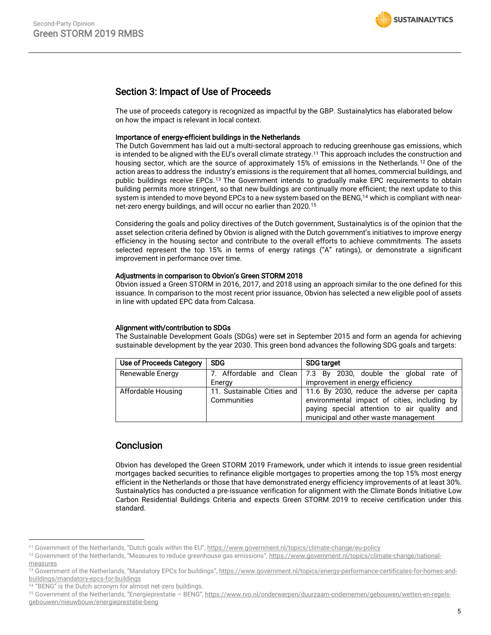# Section 3: Impact of Use of Proceeds

The use of proceeds category is recognized as impactful by the GBP. Sustainalytics has elaborated below on how the impact is relevant in local context.

#### Importance of energy-efficient buildings in the Netherlands

The Dutch Government has laid out a multi-sectoral approach to reducing greenhouse gas emissions, which is intended to be aligned with the EU's overall climate strategy. <sup>11</sup> This approach includes the construction and housing sector, which are the source of approximately 15% of emissions in the Netherlands.<sup>12</sup> One of the action areas to address the industry's emissions is the requirement that all homes, commercial buildings, and public buildings receive EPCs.<sup>13</sup> The Government intends to gradually make EPC requirements to obtain building permits more stringent, so that new buildings are continually more efficient; the next update to this system is intended to move beyond EPCs to a new system based on the BENG,<sup>14</sup> which is compliant with nearnet-zero energy buildings, and will occur no earlier than 2020.<sup>15</sup>

Considering the goals and policy directives of the Dutch government, Sustainalytics is of the opinion that the asset selection criteria defined by Obvion is aligned with the Dutch government's initiatives to improve energy efficiency in the housing sector and contribute to the overall efforts to achieve commitments. The assets selected represent the top 15% in terms of energy ratings ("A" ratings), or demonstrate a significant improvement in performance over time.

#### Adjustments in comparison to Obvion's Green STORM 2018

Obvion issued a Green STORM in 2016, 2017, and 2018 using an approach similar to the one defined for this issuance. In comparison to the most recent prior issuance, Obvion has selected a new eligible pool of assets in line with updated EPC data from Calcasa.

#### Alignment with/contribution to SDGs

The Sustainable Development Goals (SDGs) were set in September 2015 and form an agenda for achieving sustainable development by the year 2030. This green bond advances the following SDG goals and targets:

| Use of Proceeds Category | <b>SDG</b>  | <b>SDG target</b>                                                                                                                                                                                               |  |  |  |  |  |  |
|--------------------------|-------------|-----------------------------------------------------------------------------------------------------------------------------------------------------------------------------------------------------------------|--|--|--|--|--|--|
| Renewable Energy         | Energy      | 7. Affordable and Clean   7.3 By 2030, double the global rate of<br>improvement in energy efficiency                                                                                                            |  |  |  |  |  |  |
| Affordable Housing       | Communities | 11. Sustainable Cities and   11.6 By 2030, reduce the adverse per capita<br>environmental impact of cities, including by<br>paying special attention to air quality and<br>municipal and other waste management |  |  |  |  |  |  |

## **Conclusion**

Obvion has developed the Green STORM 2019 Framework, under which it intends to issue green residential mortgages backed securities to refinance eligible mortgages to properties among the top 15% most energy efficient in the Netherlands or those that have demonstrated energy efficiency improvements of at least 30%. Sustainalytics has conducted a pre-issuance verification for alignment with the Climate Bonds Initiative Low Carbon Residential Buildings Criteria and expects Green STORM 2019 to receive certification under this standard.

 $\overline{\phantom{a}}$ <sup>11</sup> Government of the Netherlands, "Dutch goals within the EU", https://www.government.nl/topics/climate-change/eu-policy

<sup>&</sup>lt;sup>12</sup> Government of the Netherlands, "Measures to reduce greenhouse gas emissions", https://www.government.nl/topics/climate-change/nationalmeasures

<sup>&</sup>lt;sup>13</sup> Government of the Netherlands, "Mandatory EPCs for buildings", https://www.government.nl/topics/energy-performance-certificates-for-homes-andbuildings/mandatory-epcs-for-buildings

<sup>&</sup>lt;sup>14</sup> "BENG" is the Dutch acronym for almost net-zero buildings.

<sup>15</sup> Government of the Netherlands, "Energieprestatie - BENG", https://www.rvo.nl/onderwerpen/duurzaam-ondernemen/gebouwen/wetten-en-regelsgebouwen/nieuwbouw/energieprestatie-beng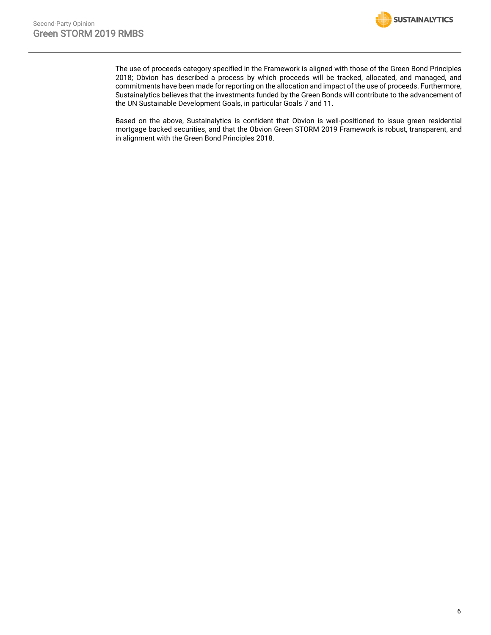

The use of proceeds category specified in the Framework is aligned with those of the Green Bond Principles 2018; Obvion has described a process by which proceeds will be tracked, allocated, and managed, and commitments have been made for reporting on the allocation and impact of the use of proceeds. Furthermore, Sustainalytics believes that the investments funded by the Green Bonds will contribute to the advancement of the UN Sustainable Development Goals, in particular Goals 7 and 11.

Based on the above, Sustainalytics is confident that Obvion is well-positioned to issue green residential mortgage backed securities, and that the Obvion Green STORM 2019 Framework is robust, transparent, and in alignment with the Green Bond Principles 2018.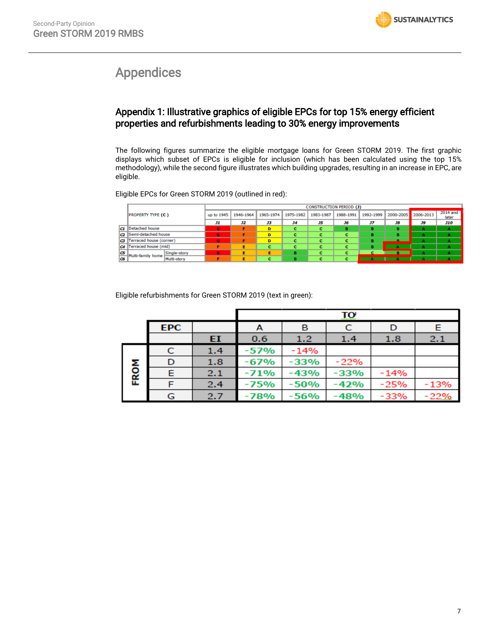# <span id="page-6-0"></span>Appendices

# Appendix 1: Illustrative graphics of eligible EPCs for top 15% energy efficient properties and refurbishments leading to 30% energy improvements

The following figures summarize the eligible mortgage loans for Green STORM 2019. The first graphic displays which subset of EPCs is eligible for inclusion (which has been calculated using the top 15% methodology), while the second figure illustrates which building upgrades, resulting in an increase in EPC, are eligible.

Eligible EPCs for Green STORM 2019 (outlined in red):

|    |                                   |            | <b>CONSTRUCTION PERIOD (J)</b> |           |           |           |           |           |           |           |                   |
|----|-----------------------------------|------------|--------------------------------|-----------|-----------|-----------|-----------|-----------|-----------|-----------|-------------------|
|    | <b>PROPERTY TYPE (C)</b>          | up to 1945 | 1946-1964                      | 1965-1974 | 1975-1982 | 1983-1987 | 1988-1991 | 1992-1999 | 2000-2005 | 2006-2013 | 2014 and<br>later |
|    |                                   | Лı         | J2                             | 33        | 34        | 35        | J6        | 37        | J8        | J9        | <b>J10</b>        |
|    | <b>C1</b> Detached house          | G          |                                | D         |           |           | в         |           |           |           |                   |
| c  | Semi-detached house               | G          |                                | D         |           |           |           |           |           |           |                   |
| cз | Terraced house (corner)           | G          |                                | D         |           |           |           |           |           |           |                   |
|    | C4 Terraced house (mid)           |            |                                |           |           |           |           |           |           | А         |                   |
| ΙŒ | Single-story<br>Multi-family home | G          |                                |           | в         |           |           |           |           |           |                   |
| lœ | Multi-story                       |            |                                |           |           |           |           |           |           |           |                   |

Eligible refurbishments for Green STORM 2019 (text in green):

|      |            |     |        |             | <u>TO</u> |        |        |  |  |
|------|------------|-----|--------|-------------|-----------|--------|--------|--|--|
|      | <b>EPC</b> |     | A      | C<br>в<br>D |           |        |        |  |  |
|      |            | EI  | 0.6    | 1.2         | 1.4       | 1.8    | 2.1    |  |  |
|      | C          | 1.4 | -57%   | $-14%$      |           |        |        |  |  |
|      | D          | 1.8 | -67%   | -33%        | $-22%$    |        |        |  |  |
| FROM | Е          | 2.1 | $-71%$ | $-43%$      | $-33%$    | $-14%$ |        |  |  |
|      |            | 2.4 | $-75%$ | $-50%$      | $-42%$    | $-25%$ | $-13%$ |  |  |
|      | G          | 2.7 | $-78%$ | -56%        | $-48%$    | $-33%$ | $-22%$ |  |  |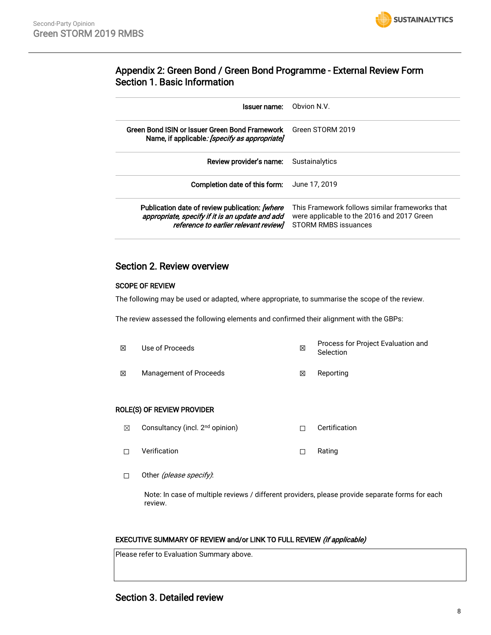

## Appendix 2: Green Bond / Green Bond Programme - External Review Form Section 1. Basic Information

| Issuer name:                                                                                                                               | Obvion N.V.                                                                                                          |
|--------------------------------------------------------------------------------------------------------------------------------------------|----------------------------------------------------------------------------------------------------------------------|
| Green Bond ISIN or Issuer Green Bond Framework<br>Name, if applicable: [specify as appropriate]                                            | Green STORM 2019                                                                                                     |
| Review provider's name:                                                                                                                    | Sustainalytics                                                                                                       |
| Completion date of this form:                                                                                                              | June 17, 2019                                                                                                        |
| Publication date of review publication: [where<br>appropriate, specify if it is an update and add<br>reference to earlier relevant reviewl | This Framework follows similar frameworks that<br>were applicable to the 2016 and 2017 Green<br>STORM RMBS issuances |

## Section 2. Review overview

#### SCOPE OF REVIEW

The following may be used or adapted, where appropriate, to summarise the scope of the review.

The review assessed the following elements and confirmed their alignment with the GBPs:

| ⊠ | Use of Proceeds        | ⊠ | Process for Project Evaluation and<br>Selection |  |
|---|------------------------|---|-------------------------------------------------|--|
| ⊠ | Management of Proceeds | ⊠ | Reporting                                       |  |

#### ROLE(S) OF REVIEW PROVIDER

- ☒ Consultancy (incl. 2nd opinion) ☐ Certification
- □ Verification □ Rating
- □ Other (please specify):

Note: In case of multiple reviews / different providers, please provide separate forms for each review.

#### EXECUTIVE SUMMARY OF REVIEW and/or LINK TO FULL REVIEW (if applicable)

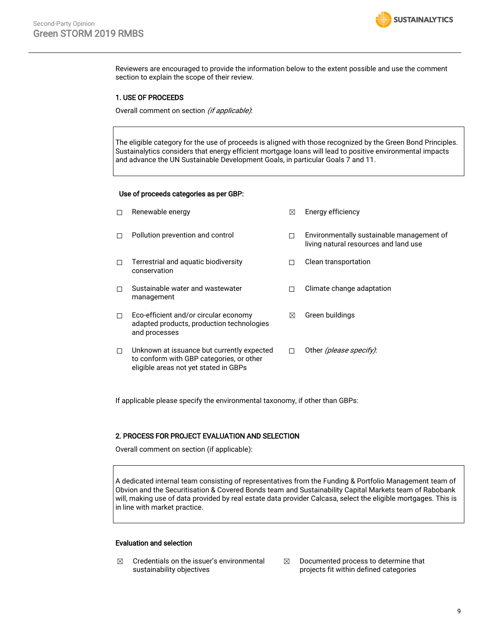

Reviewers are encouraged to provide the information below to the extent possible and use the comment section to explain the scope of their review.

#### 1. USE OF PROCEEDS

Overall comment on section (if applicable):

The eligible category for the use of proceeds is aligned with those recognized by the Green Bond Principles. Sustainalytics considers that energy efficient mortgage loans will lead to positive environmental impacts and advance the UN Sustainable Development Goals, in particular Goals 7 and 11.

#### Use of proceeds categories as per GBP:

| П      | Renewable energy                                                                                                                | $\boxtimes$ | Energy efficiency                                                                  |
|--------|---------------------------------------------------------------------------------------------------------------------------------|-------------|------------------------------------------------------------------------------------|
| П      | Pollution prevention and control                                                                                                | п           | Environmentally sustainable management of<br>living natural resources and land use |
| П      | Terrestrial and aquatic biodiversity<br>conservation                                                                            | П           | Clean transportation                                                               |
| П      | Sustainable water and wastewater<br>management                                                                                  | п           | Climate change adaptation                                                          |
| $\Box$ | Eco-efficient and/or circular economy<br>adapted products, production technologies<br>and processes                             | ⊠           | Green buildings                                                                    |
| $\Box$ | Unknown at issuance but currently expected<br>to conform with GBP categories, or other<br>eligible areas not yet stated in GBPs | п           | Other (please specify).                                                            |

If applicable please specify the environmental taxonomy, if other than GBPs:

#### 2. PROCESS FOR PROJECT EVALUATION AND SELECTION

Overall comment on section (if applicable):

A dedicated internal team consisting of representatives from the Funding & Portfolio Management team of Obvion and the Securitisation & Covered Bonds team and Sustainability Capital Markets team of Rabobank will, making use of data provided by real estate data provider Calcasa, select the eligible mortgages. This is in line with market practice.

#### Evaluation and selection

- $\boxtimes$  Credentials on the issuer's environmental sustainability objectives
- $\boxtimes$  Documented process to determine that projects fit within defined categories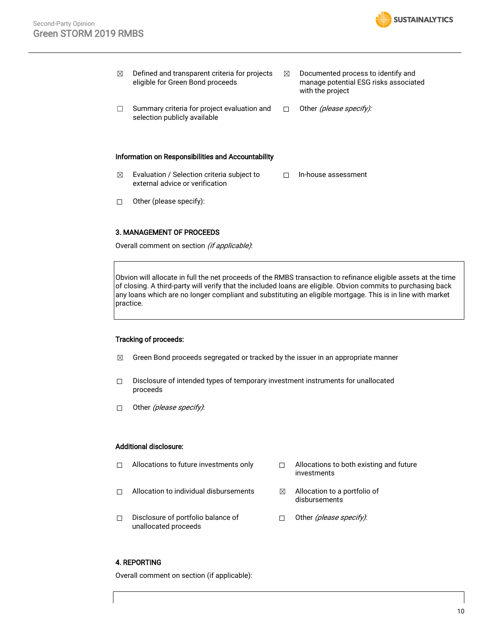

| ⊠ | Defined and transparent criteria for projects<br>eligible for Green Bond proceeds | ⊠ | Documented process to identify and<br>manage potential ESG risks associated<br>with the project |
|---|-----------------------------------------------------------------------------------|---|-------------------------------------------------------------------------------------------------|
|   | Summary criteria for project evaluation and<br>selection publicly available       |   | Other <i>(please specify):</i>                                                                  |

#### Information on Responsibilities and Accountability

- $\boxtimes$  Evaluation / Selection criteria subject to external advice or verification ☐ In-house assessment
- ☐ Other (please specify):

#### 3. MANAGEMENT OF PROCEEDS

Overall comment on section (if applicable):

Obvion will allocate in full the net proceeds of the RMBS transaction to refinance eligible assets at the time of closing. A third-party will verify that the included loans are eligible. Obvion commits to purchasing back any loans which are no longer compliant and substituting an eligible mortgage. This is in line with market practice.

#### Tracking of proceeds:

- $\boxtimes$  Green Bond proceeds segregated or tracked by the issuer in an appropriate manner
- ☐ Disclosure of intended types of temporary investment instruments for unallocated proceeds
- □ Other *(please specify)*:

#### Additional disclosure:

- ☐ Allocations to future investments only ☐ Allocations to both existing and future investments ☐ Allocation to individual disbursements ☒ Allocation to a portfolio of disbursements
- ☐ Disclosure of portfolio balance of unallocated proceeds □ Other *(please specify)*:

#### 4. REPORTING

Overall comment on section (if applicable):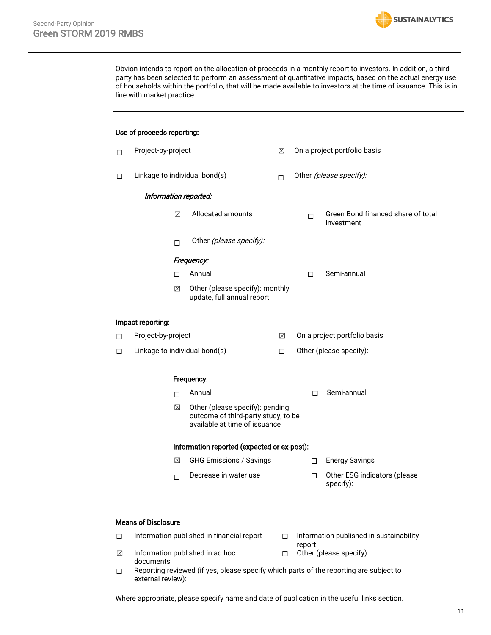

Obvion intends to report on the allocation of proceeds in a monthly report to investors. In addition, a third party has been selected to perform an assessment of quantitative impacts, based on the actual energy use of households within the portfolio, that will be made available to investors at the time of issuance. This is in line with market practice.

#### Use of proceeds reporting:

| □ | Project-by-project                          |             |                                                                                                         | ⊠                       |                              |        | On a project portfolio basis                     |  |
|---|---------------------------------------------|-------------|---------------------------------------------------------------------------------------------------------|-------------------------|------------------------------|--------|--------------------------------------------------|--|
| □ | Linkage to individual bond(s)               |             | П                                                                                                       | Other (please specify): |                              |        |                                                  |  |
|   | Information reported:                       |             |                                                                                                         |                         |                              |        |                                                  |  |
|   |                                             | $\boxtimes$ | Allocated amounts                                                                                       |                         | П                            |        | Green Bond financed share of total<br>investment |  |
|   |                                             | п           | Other (please specify):                                                                                 |                         |                              |        |                                                  |  |
|   |                                             |             | Frequency:                                                                                              |                         |                              |        |                                                  |  |
|   |                                             | □           | Annual                                                                                                  |                         | п                            |        | Semi-annual                                      |  |
|   |                                             | ⊠           | Other (please specify): monthly<br>update, full annual report                                           |                         |                              |        |                                                  |  |
|   | Impact reporting:                           |             |                                                                                                         |                         |                              |        |                                                  |  |
| □ | Project-by-project                          |             |                                                                                                         | ⊠                       | On a project portfolio basis |        |                                                  |  |
| □ |                                             |             | Linkage to individual bond(s)                                                                           | $\Box$                  |                              |        | Other (please specify):                          |  |
|   |                                             |             | Frequency:                                                                                              |                         |                              |        |                                                  |  |
|   |                                             | $\Box$      | Annual                                                                                                  |                         |                              | п      | Semi-annual                                      |  |
|   |                                             | ⊠           | Other (please specify): pending<br>outcome of third-party study, to be<br>available at time of issuance |                         |                              |        |                                                  |  |
|   | Information reported (expected or ex-post): |             |                                                                                                         |                         |                              |        |                                                  |  |
|   |                                             | ⊠           | <b>GHG Emissions / Savings</b>                                                                          |                         |                              | $\Box$ | <b>Energy Savings</b>                            |  |
|   |                                             | П           | Decrease in water use                                                                                   |                         |                              | $\Box$ | Other ESG indicators (please<br>specify):        |  |
|   |                                             |             |                                                                                                         |                         |                              |        |                                                  |  |

#### Means of Disclosure

- □ Information published in financial report □ Information published in sustainability
- report

☐ Other (please specify):

- $\boxtimes$  Information published in ad hoc documents
- ☐ Reporting reviewed (if yes, please specify which parts of the reporting are subject to external review):

Where appropriate, please specify name and date of publication in the useful links section.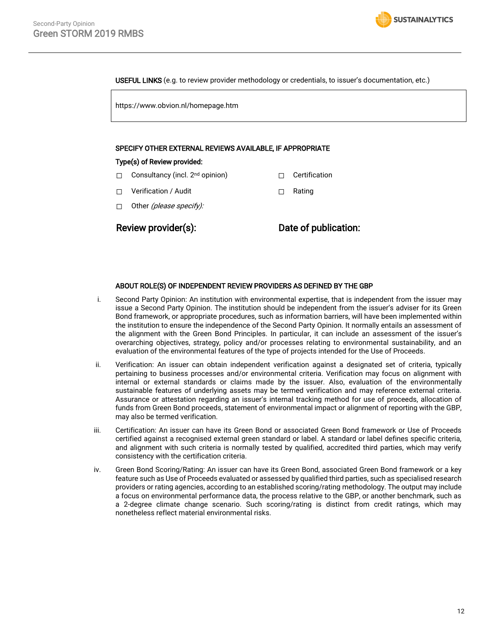**SUSTAINALYTICS** 

USEFUL LINKS (e.g. to review provider methodology or credentials, to issuer's documentation, etc.)

https://www.obvion.nl/homepage.htm

#### SPECIFY OTHER EXTERNAL REVIEWS AVAILABLE, IF APPROPRIATE

#### Type(s) of Review provided:

- □ Consultancy (incl. 2<sup>nd</sup> opinion) □ □ Certification
- ☐ Verification / Audit ☐ Rating
- □ Other (please specify):

Review provider(s): Date of publication:

#### ABOUT ROLE(S) OF INDEPENDENT REVIEW PROVIDERS AS DEFINED BY THE GBP

- i. Second Party Opinion: An institution with environmental expertise, that is independent from the issuer may issue a Second Party Opinion. The institution should be independent from the issuer's adviser for its Green Bond framework, or appropriate procedures, such as information barriers, will have been implemented within the institution to ensure the independence of the Second Party Opinion. It normally entails an assessment of the alignment with the Green Bond Principles. In particular, it can include an assessment of the issuer's overarching objectives, strategy, policy and/or processes relating to environmental sustainability, and an evaluation of the environmental features of the type of projects intended for the Use of Proceeds.
- ii. Verification: An issuer can obtain independent verification against a designated set of criteria, typically pertaining to business processes and/or environmental criteria. Verification may focus on alignment with internal or external standards or claims made by the issuer. Also, evaluation of the environmentally sustainable features of underlying assets may be termed verification and may reference external criteria. Assurance or attestation regarding an issuer's internal tracking method for use of proceeds, allocation of funds from Green Bond proceeds, statement of environmental impact or alignment of reporting with the GBP, may also be termed verification.
- iii. Certification: An issuer can have its Green Bond or associated Green Bond framework or Use of Proceeds certified against a recognised external green standard or label. A standard or label defines specific criteria, and alignment with such criteria is normally tested by qualified, accredited third parties, which may verify consistency with the certification criteria.
- iv. Green Bond Scoring/Rating: An issuer can have its Green Bond, associated Green Bond framework or a key feature such as Use of Proceeds evaluated or assessed by qualified third parties, such as specialised research providers or rating agencies, according to an established scoring/rating methodology. The output may include a focus on environmental performance data, the process relative to the GBP, or another benchmark, such as a 2-degree climate change scenario. Such scoring/rating is distinct from credit ratings, which may nonetheless reflect material environmental risks.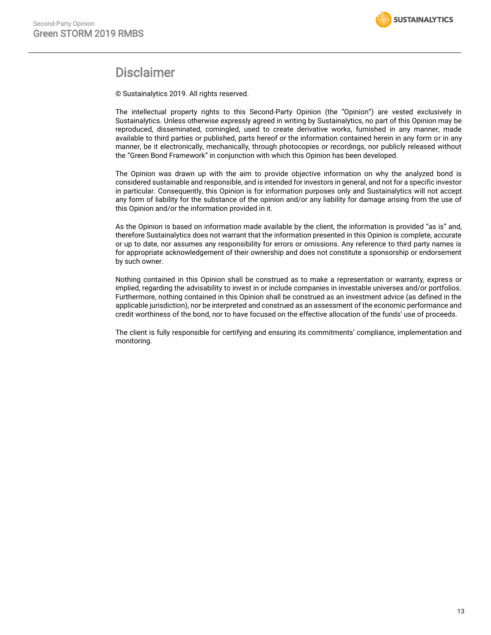

# **Disclaimer**

© Sustainalytics 2019. All rights reserved.

The intellectual property rights to this Second-Party Opinion (the "Opinion") are vested exclusively in Sustainalytics. Unless otherwise expressly agreed in writing by Sustainalytics, no part of this Opinion may be reproduced, disseminated, comingled, used to create derivative works, furnished in any manner, made available to third parties or published, parts hereof or the information contained herein in any form or in any manner, be it electronically, mechanically, through photocopies or recordings, nor publicly released without the "Green Bond Framework" in conjunction with which this Opinion has been developed.

The Opinion was drawn up with the aim to provide objective information on why the analyzed bond is considered sustainable and responsible, and is intended for investors in general, and not for a specific investor in particular. Consequently, this Opinion is for information purposes only and Sustainalytics will not accept any form of liability for the substance of the opinion and/or any liability for damage arising from the use of this Opinion and/or the information provided in it.

As the Opinion is based on information made available by the client, the information is provided "as is" and, therefore Sustainalytics does not warrant that the information presented in this Opinion is complete, accurate or up to date, nor assumes any responsibility for errors or omissions. Any reference to third party names is for appropriate acknowledgement of their ownership and does not constitute a sponsorship or endorsement by such owner.

Nothing contained in this Opinion shall be construed as to make a representation or warranty, express or implied, regarding the advisability to invest in or include companies in investable universes and/or portfolios. Furthermore, nothing contained in this Opinion shall be construed as an investment advice (as defined in the applicable jurisdiction), nor be interpreted and construed as an assessment of the economic performance and credit worthiness of the bond, nor to have focused on the effective allocation of the funds' use of proceeds.

The client is fully responsible for certifying and ensuring its commitments' compliance, implementation and monitoring.